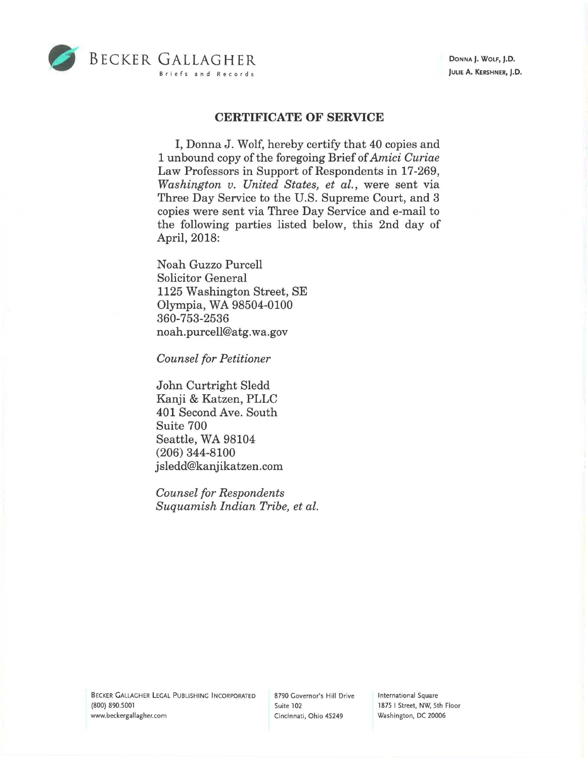

## **CERTIFICATE OF SERVICE**

I, Donna J. Wolf, hereby certify that 40 copies and 1 unbound copy of the foregoing Brief of *Amici Curiae*  Law Professors in Support of Respondents in 17-269, *Washington v. United States, et al.,* were sent via Three Day Service to the U.S. Supreme Court, and 3 copies were sent via Three Day Service and e-mail to the following parties listed below, this 2nd day of April, 2018:

Noah Guzzo Purcell Solicitor General 1125 Washington Street, SE Olympia, WA 98504-0100 360-753-2536 noah. purcell@atg.wa.gov

*Counsel for Petitioner* 

John Curtright Sledd Kanji & Katzen, PLLC 401 Second Ave. South Suite 700 Seattle, WA 98104 (206) 344-8100 jsledd@kanjikatzen.com

*Counsel for Respondents Suquamish Indian Tribe, et al.* 

BECKER GALLAGHER LEGAL PUBLISHING INCORPORATED (800) 890.5001 www.beckergallagher.com

8790 Governor's Hill Drive Suite 102 Cincinnati, Ohio 45249

International Square 1875 I Street, NW, 5th Floor Washington, DC 20006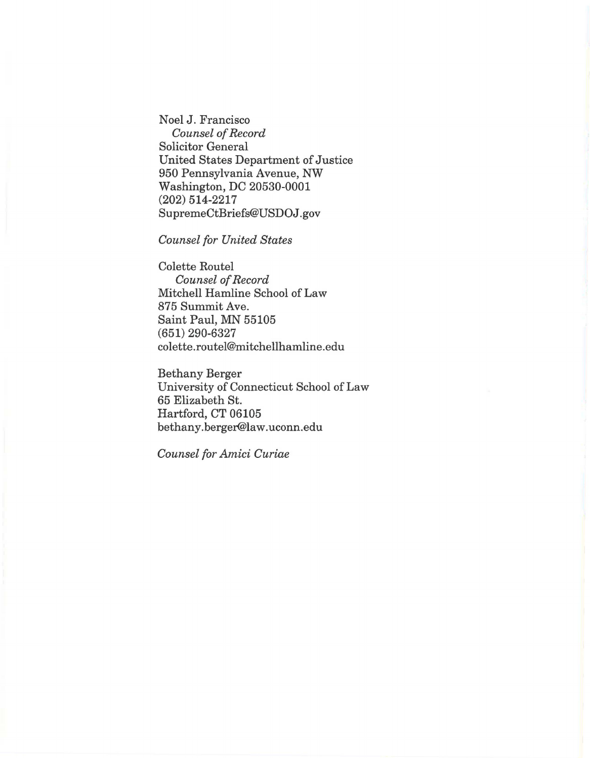Noel J. Francisco *Counsel of Record*  Solicitor General United States Department of Justice 950 Pennsylvania Avenue, NW Washington, DC 20530-0001 (202) 514-2217 SupremeCtBriefs@USDOJ.gov

*Counsel for United States* 

Colette Routel *Counsel of Record*  Mitchell Hamline School of Law 875 Summit Ave. Saint Paul, MN 55105 (651) 290-6327 colette.routel@mitchellhamline.edu

Bethany Berger University of Connecticut School of Law 65 Elizabeth St. Hartford, CT 06105 bethany.berger@law.uconn.edu

*Counsel for Amici Curiae*